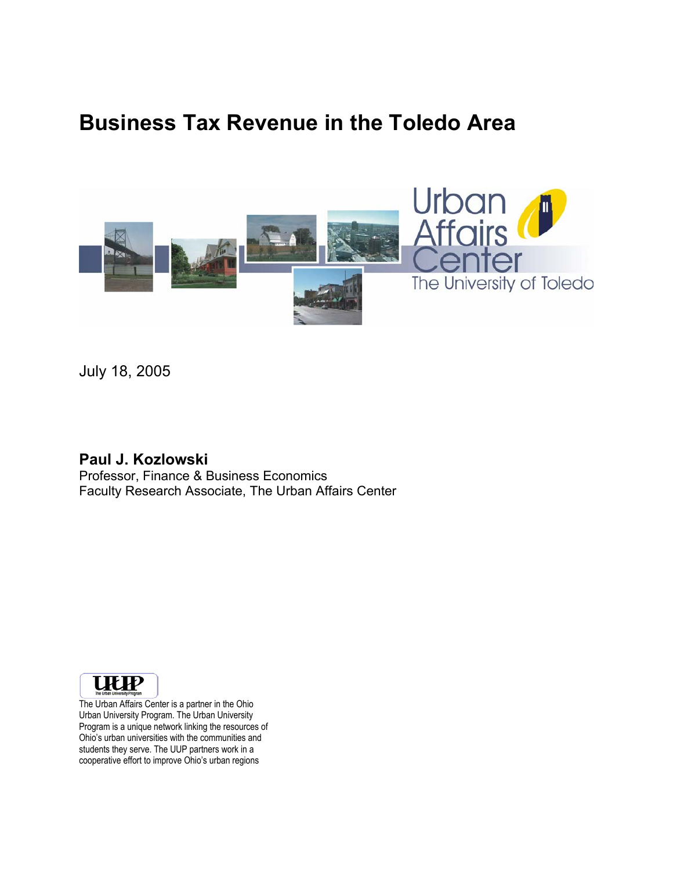# **Business Tax Revenue in the Toledo Area**



July 18, 2005

### **Paul J. Kozlowski**  Professor, Finance & Business Economics Faculty Research Associate, The Urban Affairs Center



The Urban Affairs Center is a partner in the Ohio Urban University Program. The Urban University Program is a unique network linking the resources of Ohio's urban universities with the communities and students they serve. The UUP partners work in a cooperative effort to improve Ohio's urban regions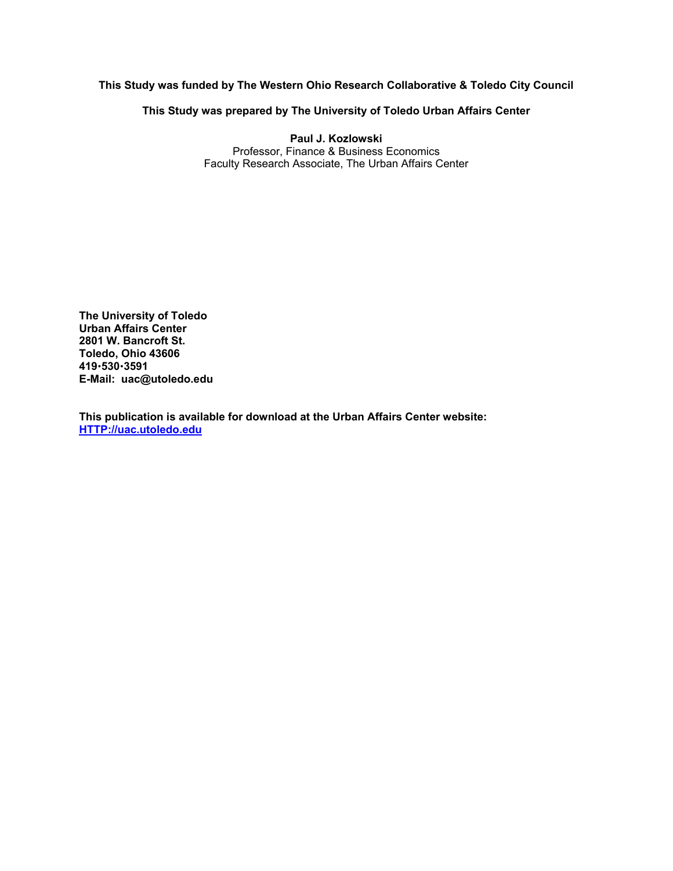#### **This Study was funded by The Western Ohio Research Collaborative & Toledo City Council**

**This Study was prepared by The University of Toledo Urban Affairs Center** 

**Paul J. Kozlowski**  Professor, Finance & Business Economics Faculty Research Associate, The Urban Affairs Center

**The University of Toledo Urban Affairs Center 2801 W. Bancroft St. Toledo, Ohio 43606 419**x**530**x**3591 E-Mail: uac@utoledo.edu** 

**This publication is available for download at the Urban Affairs Center website: HTTP://uac.utoledo.edu**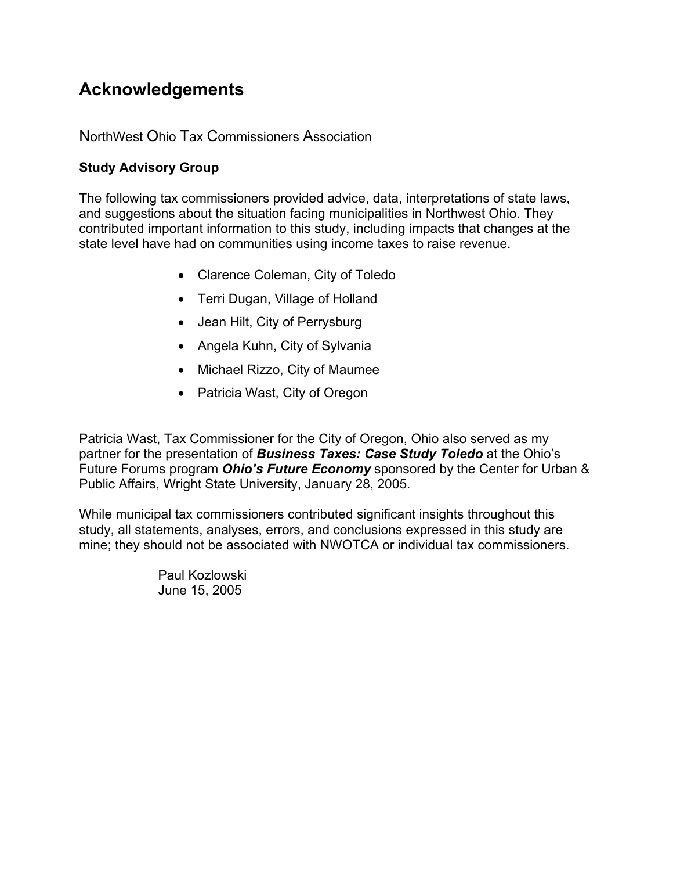## **Acknowledgements**

### NorthWest Ohio Tax Commissioners Association

### **Study Advisory Group**

The following tax commissioners provided advice, data, interpretations of state laws, and suggestions about the situation facing municipalities in Northwest Ohio. They contributed important information to this study, including impacts that changes at the state level have had on communities using income taxes to raise revenue.

- Clarence Coleman, City of Toledo
- Terri Dugan, Village of Holland
- Jean Hilt, City of Perrysburg
- Angela Kuhn, City of Sylvania
- Michael Rizzo, City of Maumee
- Patricia Wast, City of Oregon

Patricia Wast, Tax Commissioner for the City of Oregon, Ohio also served as my partner for the presentation of *Business Taxes: Case Study Toledo* at the Ohio's Future Forums program *Ohio's Future Economy* sponsored by the Center for Urban & Public Affairs, Wright State University, January 28, 2005.

While municipal tax commissioners contributed significant insights throughout this study, all statements, analyses, errors, and conclusions expressed in this study are mine; they should not be associated with NWOTCA or individual tax commissioners.

> Paul Kozlowski June 15, 2005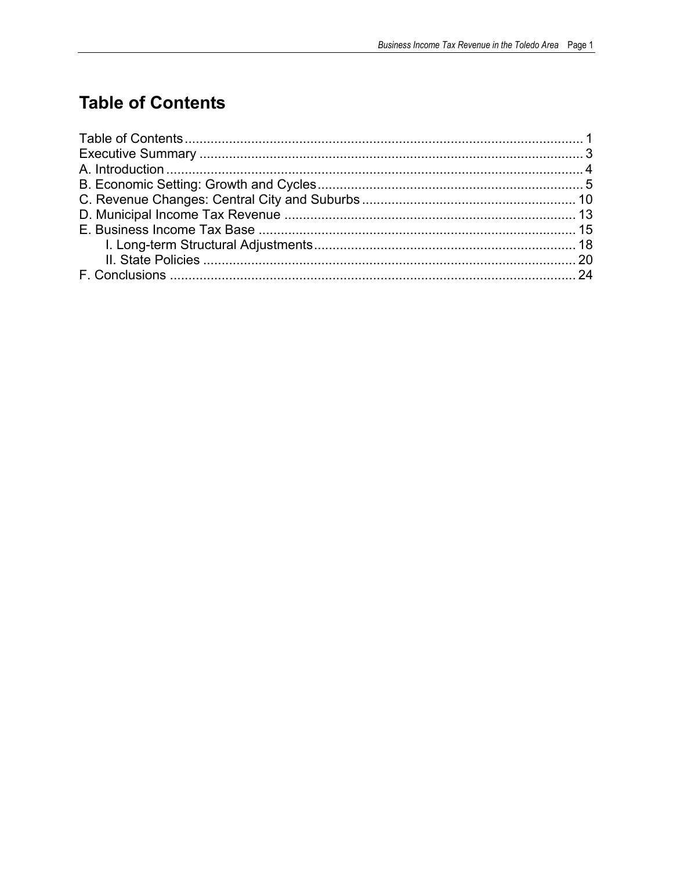## **Table of Contents**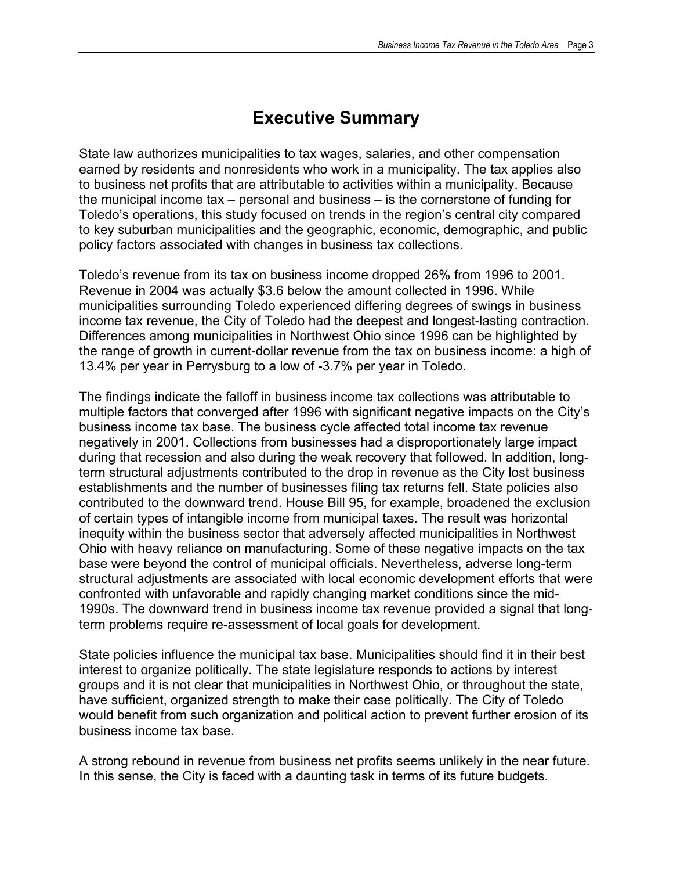## **Executive Summary**

State law authorizes municipalities to tax wages, salaries, and other compensation earned by residents and nonresidents who work in a municipality. The tax applies also to business net profits that are attributable to activities within a municipality. Because the municipal income tax – personal and business – is the cornerstone of funding for Toledo's operations, this study focused on trends in the region's central city compared to key suburban municipalities and the geographic, economic, demographic, and public policy factors associated with changes in business tax collections.

Toledo's revenue from its tax on business income dropped 26% from 1996 to 2001. Revenue in 2004 was actually \$3.6 below the amount collected in 1996. While municipalities surrounding Toledo experienced differing degrees of swings in business income tax revenue, the City of Toledo had the deepest and longest-lasting contraction. Differences among municipalities in Northwest Ohio since 1996 can be highlighted by the range of growth in current-dollar revenue from the tax on business income: a high of 13.4% per year in Perrysburg to a low of -3.7% per year in Toledo.

The findings indicate the falloff in business income tax collections was attributable to multiple factors that converged after 1996 with significant negative impacts on the City's business income tax base. The business cycle affected total income tax revenue negatively in 2001. Collections from businesses had a disproportionately large impact during that recession and also during the weak recovery that followed. In addition, longterm structural adjustments contributed to the drop in revenue as the City lost business establishments and the number of businesses filing tax returns fell. State policies also contributed to the downward trend. House Bill 95, for example, broadened the exclusion of certain types of intangible income from municipal taxes. The result was horizontal inequity within the business sector that adversely affected municipalities in Northwest Ohio with heavy reliance on manufacturing. Some of these negative impacts on the tax base were beyond the control of municipal officials. Nevertheless, adverse long-term structural adjustments are associated with local economic development efforts that were confronted with unfavorable and rapidly changing market conditions since the mid-1990s. The downward trend in business income tax revenue provided a signal that longterm problems require re-assessment of local goals for development.

State policies influence the municipal tax base. Municipalities should find it in their best interest to organize politically. The state legislature responds to actions by interest groups and it is not clear that municipalities in Northwest Ohio, or throughout the state, have sufficient, organized strength to make their case politically. The City of Toledo would benefit from such organization and political action to prevent further erosion of its business income tax base.

A strong rebound in revenue from business net profits seems unlikely in the near future. In this sense, the City is faced with a daunting task in terms of its future budgets.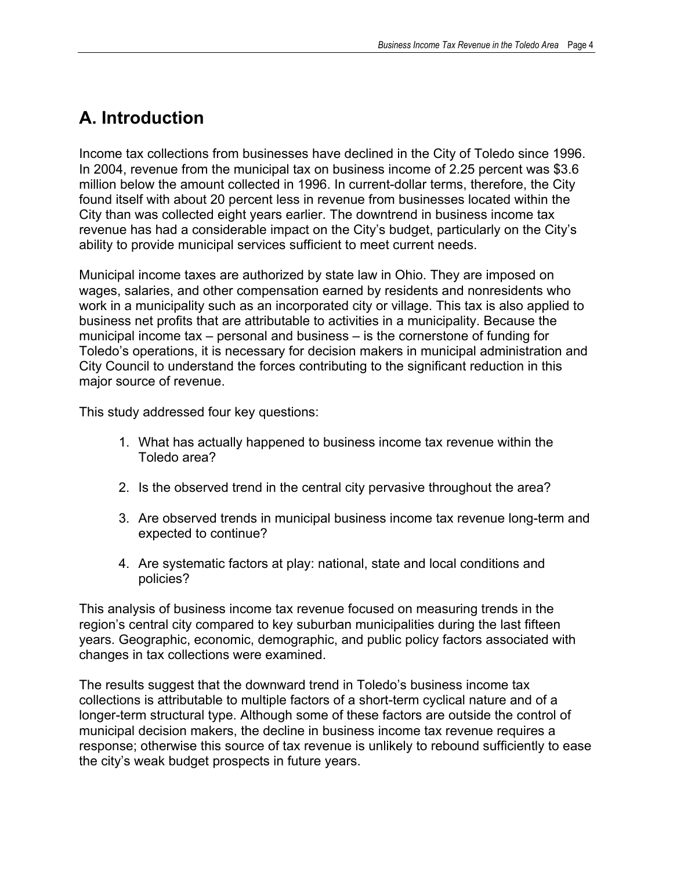## **A. Introduction**

Income tax collections from businesses have declined in the City of Toledo since 1996. In 2004, revenue from the municipal tax on business income of 2.25 percent was \$3.6 million below the amount collected in 1996. In current-dollar terms, therefore, the City found itself with about 20 percent less in revenue from businesses located within the City than was collected eight years earlier. The downtrend in business income tax revenue has had a considerable impact on the City's budget, particularly on the City's ability to provide municipal services sufficient to meet current needs.

Municipal income taxes are authorized by state law in Ohio. They are imposed on wages, salaries, and other compensation earned by residents and nonresidents who work in a municipality such as an incorporated city or village. This tax is also applied to business net profits that are attributable to activities in a municipality. Because the municipal income tax – personal and business – is the cornerstone of funding for Toledo's operations, it is necessary for decision makers in municipal administration and City Council to understand the forces contributing to the significant reduction in this major source of revenue.

This study addressed four key questions:

- 1. What has actually happened to business income tax revenue within the Toledo area?
- 2. Is the observed trend in the central city pervasive throughout the area?
- 3. Are observed trends in municipal business income tax revenue long-term and expected to continue?
- 4. Are systematic factors at play: national, state and local conditions and policies?

This analysis of business income tax revenue focused on measuring trends in the region's central city compared to key suburban municipalities during the last fifteen years. Geographic, economic, demographic, and public policy factors associated with changes in tax collections were examined.

The results suggest that the downward trend in Toledo's business income tax collections is attributable to multiple factors of a short-term cyclical nature and of a longer-term structural type. Although some of these factors are outside the control of municipal decision makers, the decline in business income tax revenue requires a response; otherwise this source of tax revenue is unlikely to rebound sufficiently to ease the city's weak budget prospects in future years.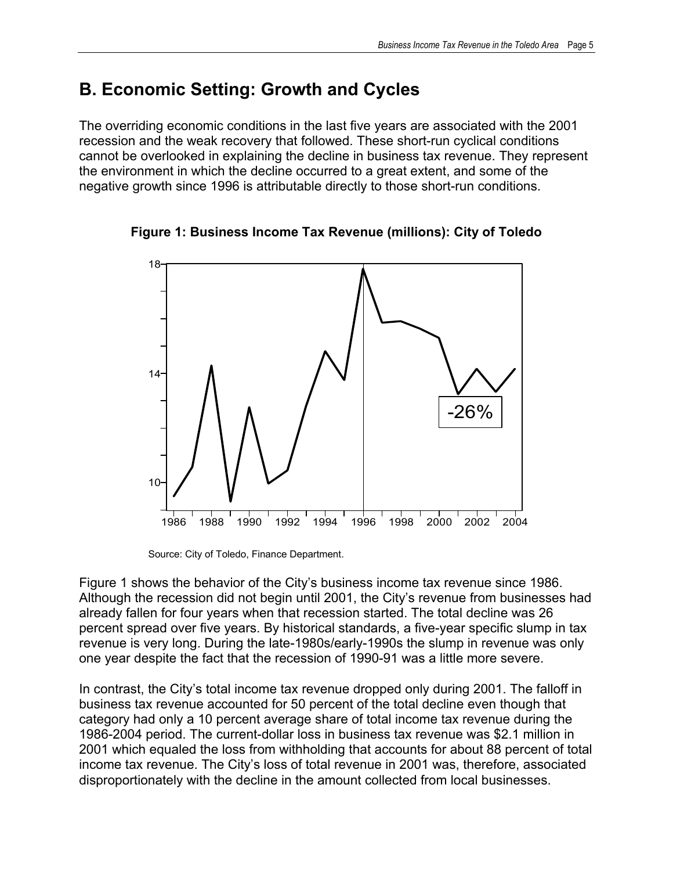## **B. Economic Setting: Growth and Cycles**

The overriding economic conditions in the last five years are associated with the 2001 recession and the weak recovery that followed. These short-run cyclical conditions cannot be overlooked in explaining the decline in business tax revenue. They represent the environment in which the decline occurred to a great extent, and some of the negative growth since 1996 is attributable directly to those short-run conditions.



**Figure 1: Business Income Tax Revenue (millions): City of Toledo** 

Source: City of Toledo, Finance Department.

Figure 1 shows the behavior of the City's business income tax revenue since 1986. Although the recession did not begin until 2001, the City's revenue from businesses had already fallen for four years when that recession started. The total decline was 26 percent spread over five years. By historical standards, a five-year specific slump in tax revenue is very long. During the late-1980s/early-1990s the slump in revenue was only one year despite the fact that the recession of 1990-91 was a little more severe.

In contrast, the City's total income tax revenue dropped only during 2001. The falloff in business tax revenue accounted for 50 percent of the total decline even though that category had only a 10 percent average share of total income tax revenue during the 1986-2004 period. The current-dollar loss in business tax revenue was \$2.1 million in 2001 which equaled the loss from withholding that accounts for about 88 percent of total income tax revenue. The City's loss of total revenue in 2001 was, therefore, associated disproportionately with the decline in the amount collected from local businesses.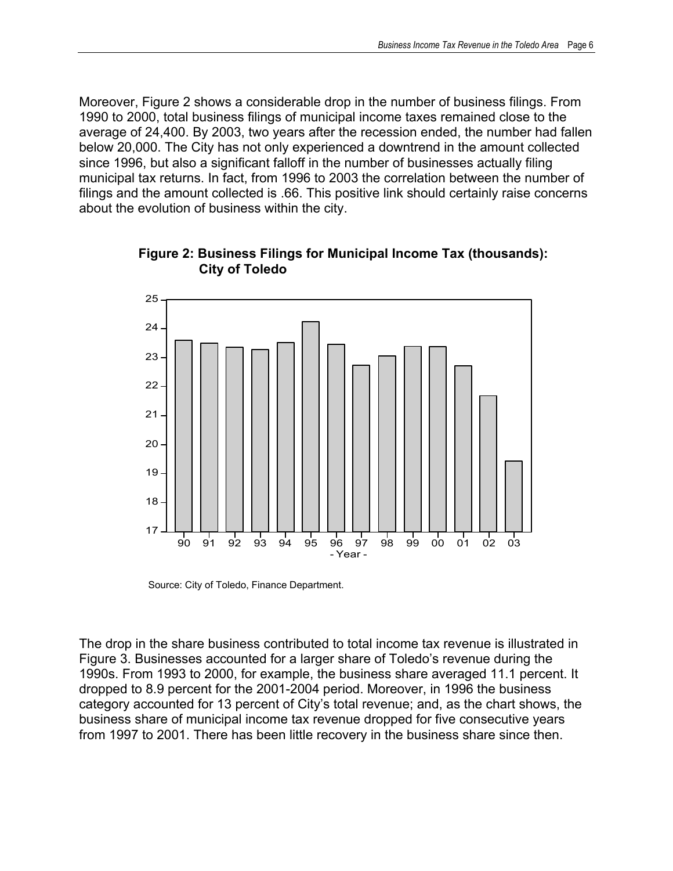Moreover, Figure 2 shows a considerable drop in the number of business filings. From 1990 to 2000, total business filings of municipal income taxes remained close to the average of 24,400. By 2003, two years after the recession ended, the number had fallen below 20,000. The City has not only experienced a downtrend in the amount collected since 1996, but also a significant falloff in the number of businesses actually filing municipal tax returns. In fact, from 1996 to 2003 the correlation between the number of filings and the amount collected is .66. This positive link should certainly raise concerns about the evolution of business within the city.



**Figure 2: Business Filings for Municipal Income Tax (thousands): City of Toledo** 

Source: City of Toledo, Finance Department.

The drop in the share business contributed to total income tax revenue is illustrated in Figure 3. Businesses accounted for a larger share of Toledo's revenue during the 1990s. From 1993 to 2000, for example, the business share averaged 11.1 percent. It dropped to 8.9 percent for the 2001-2004 period. Moreover, in 1996 the business category accounted for 13 percent of City's total revenue; and, as the chart shows, the business share of municipal income tax revenue dropped for five consecutive years from 1997 to 2001. There has been little recovery in the business share since then.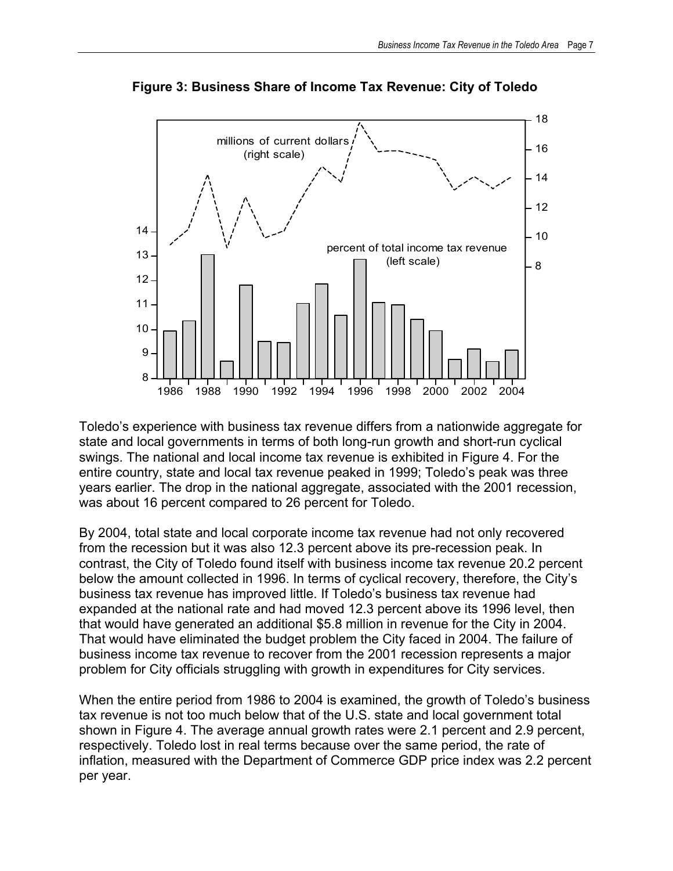

**Figure 3: Business Share of Income Tax Revenue: City of Toledo**

Toledo's experience with business tax revenue differs from a nationwide aggregate for state and local governments in terms of both long-run growth and short-run cyclical swings. The national and local income tax revenue is exhibited in Figure 4. For the entire country, state and local tax revenue peaked in 1999; Toledo's peak was three years earlier. The drop in the national aggregate, associated with the 2001 recession, was about 16 percent compared to 26 percent for Toledo.

By 2004, total state and local corporate income tax revenue had not only recovered from the recession but it was also 12.3 percent above its pre-recession peak. In contrast, the City of Toledo found itself with business income tax revenue 20.2 percent below the amount collected in 1996. In terms of cyclical recovery, therefore, the City's business tax revenue has improved little. If Toledo's business tax revenue had expanded at the national rate and had moved 12.3 percent above its 1996 level, then that would have generated an additional \$5.8 million in revenue for the City in 2004. That would have eliminated the budget problem the City faced in 2004. The failure of business income tax revenue to recover from the 2001 recession represents a major problem for City officials struggling with growth in expenditures for City services.

When the entire period from 1986 to 2004 is examined, the growth of Toledo's business tax revenue is not too much below that of the U.S. state and local government total shown in Figure 4. The average annual growth rates were 2.1 percent and 2.9 percent, respectively. Toledo lost in real terms because over the same period, the rate of inflation, measured with the Department of Commerce GDP price index was 2.2 percent per year.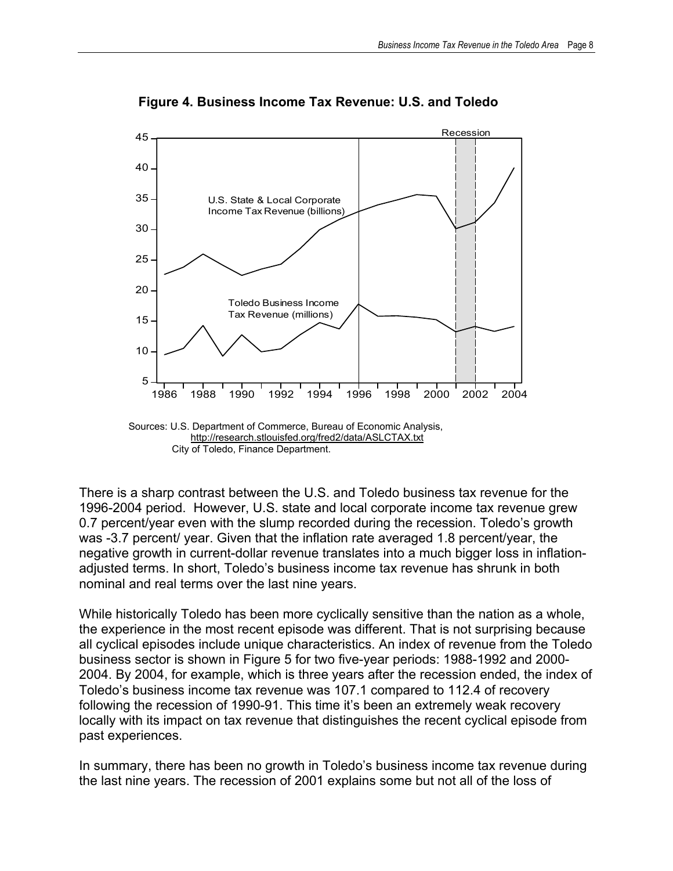

 **Figure 4. Business Income Tax Revenue: U.S. and Toledo** 

There is a sharp contrast between the U.S. and Toledo business tax revenue for the 1996-2004 period. However, U.S. state and local corporate income tax revenue grew 0.7 percent/year even with the slump recorded during the recession. Toledo's growth was -3.7 percent/ year. Given that the inflation rate averaged 1.8 percent/year, the negative growth in current-dollar revenue translates into a much bigger loss in inflationadjusted terms. In short, Toledo's business income tax revenue has shrunk in both nominal and real terms over the last nine years.

While historically Toledo has been more cyclically sensitive than the nation as a whole, the experience in the most recent episode was different. That is not surprising because all cyclical episodes include unique characteristics. An index of revenue from the Toledo business sector is shown in Figure 5 for two five-year periods: 1988-1992 and 2000- 2004. By 2004, for example, which is three years after the recession ended, the index of Toledo's business income tax revenue was 107.1 compared to 112.4 of recovery following the recession of 1990-91. This time it's been an extremely weak recovery locally with its impact on tax revenue that distinguishes the recent cyclical episode from past experiences.

In summary, there has been no growth in Toledo's business income tax revenue during the last nine years. The recession of 2001 explains some but not all of the loss of

http://research.stlouisfed.org/fred2/data/ASLCTAX.txt City of Toledo, Finance Department.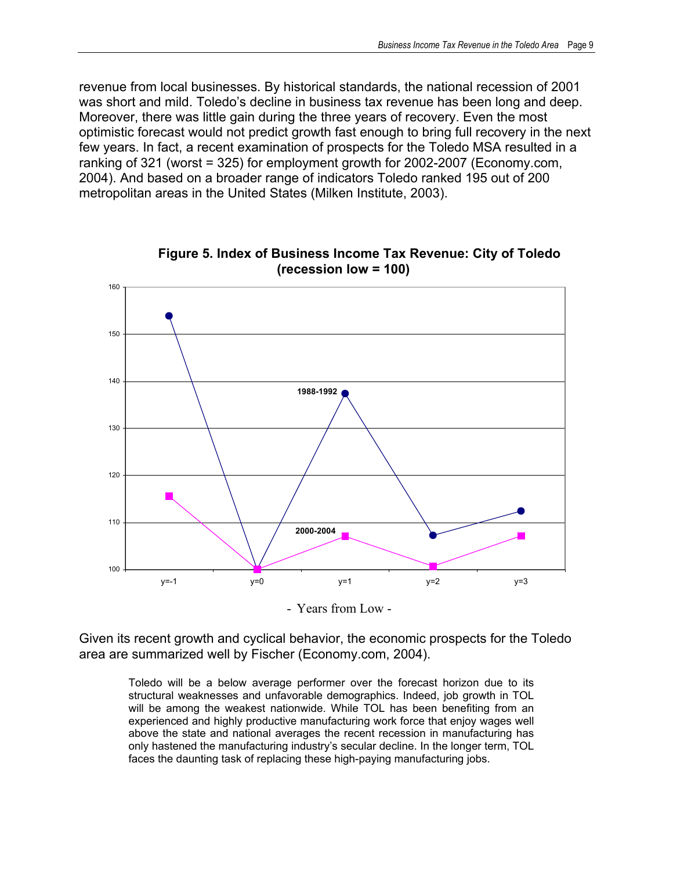revenue from local businesses. By historical standards, the national recession of 2001 was short and mild. Toledo's decline in business tax revenue has been long and deep. Moreover, there was little gain during the three years of recovery. Even the most optimistic forecast would not predict growth fast enough to bring full recovery in the next few years. In fact, a recent examination of prospects for the Toledo MSA resulted in a ranking of 321 (worst = 325) for employment growth for 2002-2007 (Economy.com, 2004). And based on a broader range of indicators Toledo ranked 195 out of 200 metropolitan areas in the United States (Milken Institute, 2003).



**Figure 5. Index of Business Income Tax Revenue: City of Toledo (recession low = 100)**

- Years from Low -

Given its recent growth and cyclical behavior, the economic prospects for the Toledo area are summarized well by Fischer (Economy.com, 2004).

Toledo will be a below average performer over the forecast horizon due to its structural weaknesses and unfavorable demographics. Indeed, job growth in TOL will be among the weakest nationwide. While TOL has been benefiting from an experienced and highly productive manufacturing work force that enjoy wages well above the state and national averages the recent recession in manufacturing has only hastened the manufacturing industry's secular decline. In the longer term, TOL faces the daunting task of replacing these high-paying manufacturing jobs.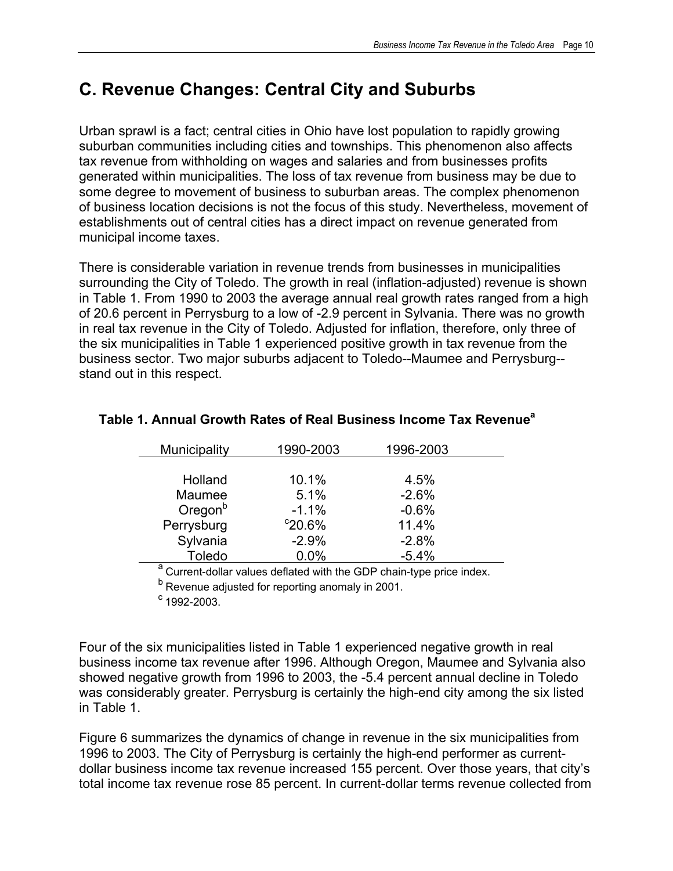## **C. Revenue Changes: Central City and Suburbs**

Urban sprawl is a fact; central cities in Ohio have lost population to rapidly growing suburban communities including cities and townships. This phenomenon also affects tax revenue from withholding on wages and salaries and from businesses profits generated within municipalities. The loss of tax revenue from business may be due to some degree to movement of business to suburban areas. The complex phenomenon of business location decisions is not the focus of this study. Nevertheless, movement of establishments out of central cities has a direct impact on revenue generated from municipal income taxes.

There is considerable variation in revenue trends from businesses in municipalities surrounding the City of Toledo. The growth in real (inflation-adjusted) revenue is shown in Table 1. From 1990 to 2003 the average annual real growth rates ranged from a high of 20.6 percent in Perrysburg to a low of -2.9 percent in Sylvania. There was no growth in real tax revenue in the City of Toledo. Adjusted for inflation, therefore, only three of the six municipalities in Table 1 experienced positive growth in tax revenue from the business sector. Two major suburbs adjacent to Toledo--Maumee and Perrysburg- stand out in this respect.

| Municipality  | 1990-2003        | 1996-2003 |  |
|---------------|------------------|-----------|--|
|               |                  |           |  |
| Holland       | 10.1%            | 4.5%      |  |
| Maumee        | 5.1%             | $-2.6%$   |  |
| $O$ regon $b$ | $-1.1%$          | $-0.6%$   |  |
| Perrysburg    | $^{\circ}20.6\%$ | 11.4%     |  |
| Sylvania      | $-2.9%$          | $-2.8%$   |  |
| Toledo        | 0.0%             | $-5.4%$   |  |
| $\mathbf{a}$  |                  |           |  |

### **Table 1. Annual Growth Rates of Real Business Income Tax Revenuea**

<sup>a</sup> Current-dollar values deflated with the GDP chain-type price index.

<sup>b</sup> Revenue adjusted for reporting anomaly in 2001.

 $c$  1992-2003.

Four of the six municipalities listed in Table 1 experienced negative growth in real business income tax revenue after 1996. Although Oregon, Maumee and Sylvania also showed negative growth from 1996 to 2003, the -5.4 percent annual decline in Toledo was considerably greater. Perrysburg is certainly the high-end city among the six listed in Table 1.

Figure 6 summarizes the dynamics of change in revenue in the six municipalities from 1996 to 2003. The City of Perrysburg is certainly the high-end performer as currentdollar business income tax revenue increased 155 percent. Over those years, that city's total income tax revenue rose 85 percent. In current-dollar terms revenue collected from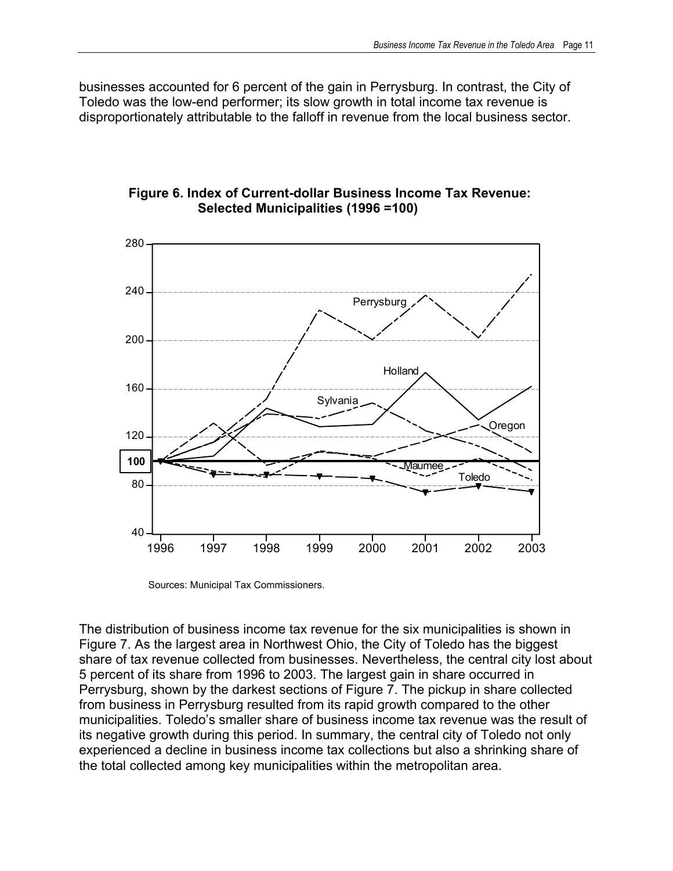businesses accounted for 6 percent of the gain in Perrysburg. In contrast, the City of Toledo was the low-end performer; its slow growth in total income tax revenue is disproportionately attributable to the falloff in revenue from the local business sector.



#### **Figure 6. Index of Current-dollar Business Income Tax Revenue: Selected Municipalities (1996 =100)**

Sources: Municipal Tax Commissioners.

The distribution of business income tax revenue for the six municipalities is shown in Figure 7. As the largest area in Northwest Ohio, the City of Toledo has the biggest share of tax revenue collected from businesses. Nevertheless, the central city lost about 5 percent of its share from 1996 to 2003. The largest gain in share occurred in Perrysburg, shown by the darkest sections of Figure 7. The pickup in share collected from business in Perrysburg resulted from its rapid growth compared to the other municipalities. Toledo's smaller share of business income tax revenue was the result of its negative growth during this period. In summary, the central city of Toledo not only experienced a decline in business income tax collections but also a shrinking share of the total collected among key municipalities within the metropolitan area.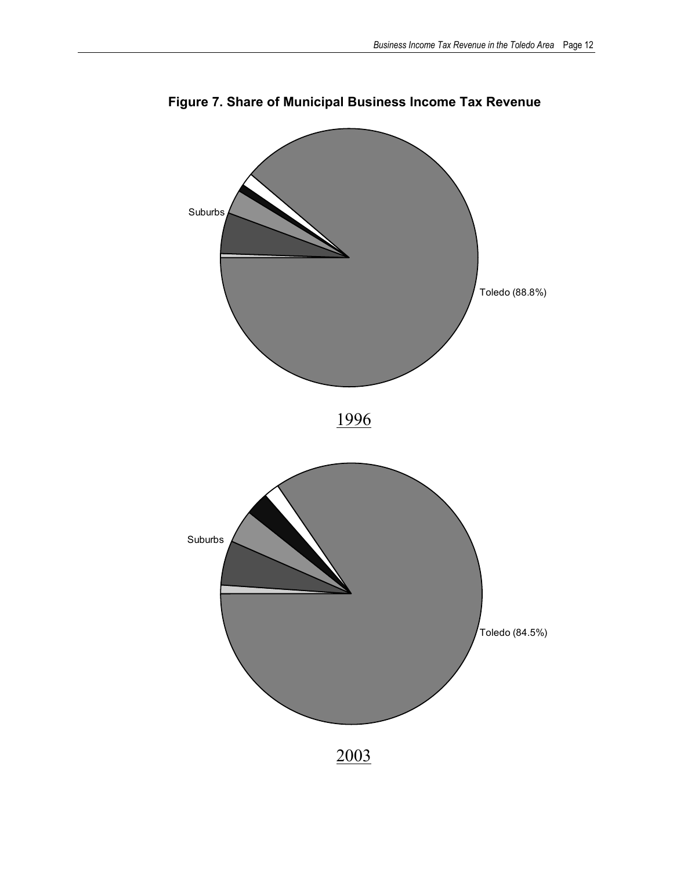

**Figure 7. Share of Municipal Business Income Tax Revenue**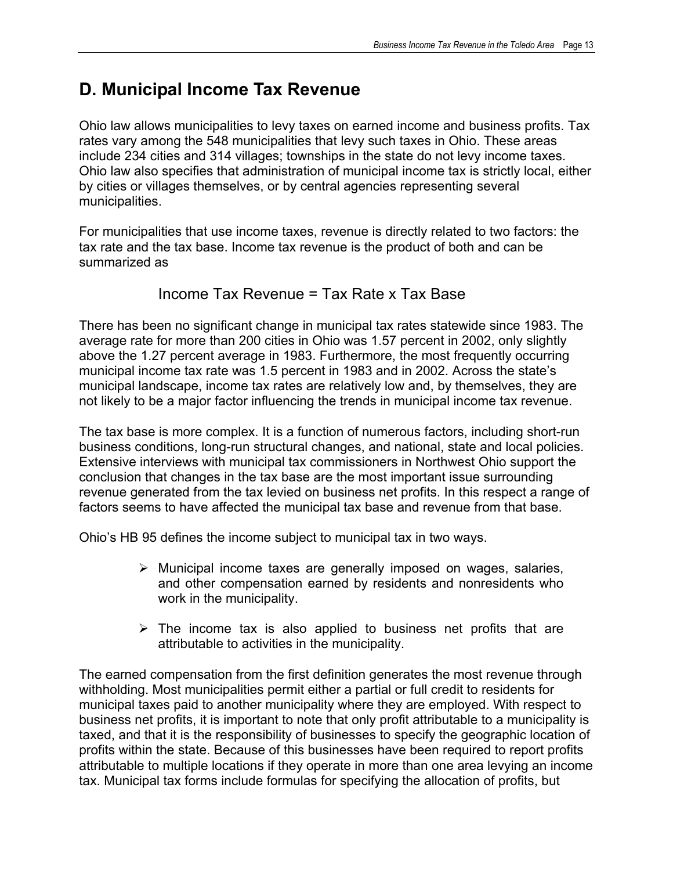## **D. Municipal Income Tax Revenue**

Ohio law allows municipalities to levy taxes on earned income and business profits. Tax rates vary among the 548 municipalities that levy such taxes in Ohio. These areas include 234 cities and 314 villages; townships in the state do not levy income taxes. Ohio law also specifies that administration of municipal income tax is strictly local, either by cities or villages themselves, or by central agencies representing several municipalities.

For municipalities that use income taxes, revenue is directly related to two factors: the tax rate and the tax base. Income tax revenue is the product of both and can be summarized as

### Income Tax Revenue = Tax Rate x Tax Base

There has been no significant change in municipal tax rates statewide since 1983. The average rate for more than 200 cities in Ohio was 1.57 percent in 2002, only slightly above the 1.27 percent average in 1983. Furthermore, the most frequently occurring municipal income tax rate was 1.5 percent in 1983 and in 2002. Across the state's municipal landscape, income tax rates are relatively low and, by themselves, they are not likely to be a major factor influencing the trends in municipal income tax revenue.

The tax base is more complex. It is a function of numerous factors, including short-run business conditions, long-run structural changes, and national, state and local policies. Extensive interviews with municipal tax commissioners in Northwest Ohio support the conclusion that changes in the tax base are the most important issue surrounding revenue generated from the tax levied on business net profits. In this respect a range of factors seems to have affected the municipal tax base and revenue from that base.

Ohio's HB 95 defines the income subject to municipal tax in two ways.

- $\triangleright$  Municipal income taxes are generally imposed on wages, salaries, and other compensation earned by residents and nonresidents who work in the municipality.
- $\triangleright$  The income tax is also applied to business net profits that are attributable to activities in the municipality.

The earned compensation from the first definition generates the most revenue through withholding. Most municipalities permit either a partial or full credit to residents for municipal taxes paid to another municipality where they are employed. With respect to business net profits, it is important to note that only profit attributable to a municipality is taxed, and that it is the responsibility of businesses to specify the geographic location of profits within the state. Because of this businesses have been required to report profits attributable to multiple locations if they operate in more than one area levying an income tax. Municipal tax forms include formulas for specifying the allocation of profits, but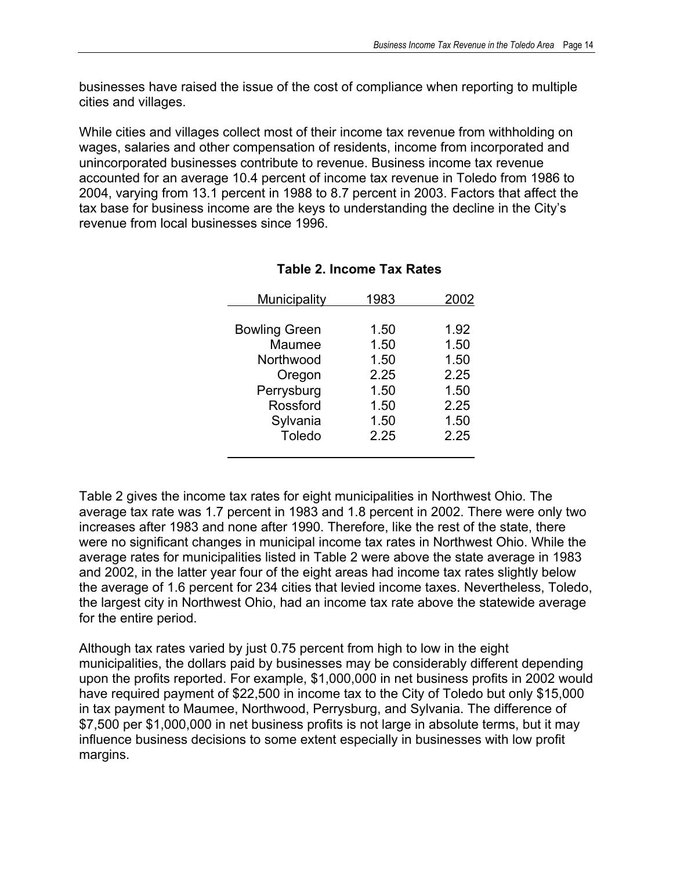businesses have raised the issue of the cost of compliance when reporting to multiple cities and villages.

While cities and villages collect most of their income tax revenue from withholding on wages, salaries and other compensation of residents, income from incorporated and unincorporated businesses contribute to revenue. Business income tax revenue accounted for an average 10.4 percent of income tax revenue in Toledo from 1986 to 2004, varying from 13.1 percent in 1988 to 8.7 percent in 2003. Factors that affect the tax base for business income are the keys to understanding the decline in the City's revenue from local businesses since 1996.

| Municipality         | 1983 | 2002 |
|----------------------|------|------|
|                      |      |      |
| <b>Bowling Green</b> | 1.50 | 1.92 |
| Maumee               | 1.50 | 1.50 |
| Northwood            | 1.50 | 1.50 |
| Oregon               | 2.25 | 2.25 |
| Perrysburg           | 1.50 | 1.50 |
| Rossford             | 1.50 | 2.25 |
| Sylvania             | 1.50 | 1.50 |
| Toledo               | 2.25 | 2.25 |
|                      |      |      |

#### **Table 2. Income Tax Rates**

Table 2 gives the income tax rates for eight municipalities in Northwest Ohio. The average tax rate was 1.7 percent in 1983 and 1.8 percent in 2002. There were only two increases after 1983 and none after 1990. Therefore, like the rest of the state, there were no significant changes in municipal income tax rates in Northwest Ohio. While the average rates for municipalities listed in Table 2 were above the state average in 1983 and 2002, in the latter year four of the eight areas had income tax rates slightly below the average of 1.6 percent for 234 cities that levied income taxes. Nevertheless, Toledo, the largest city in Northwest Ohio, had an income tax rate above the statewide average for the entire period.

Although tax rates varied by just 0.75 percent from high to low in the eight municipalities, the dollars paid by businesses may be considerably different depending upon the profits reported. For example, \$1,000,000 in net business profits in 2002 would have required payment of \$22,500 in income tax to the City of Toledo but only \$15,000 in tax payment to Maumee, Northwood, Perrysburg, and Sylvania. The difference of \$7,500 per \$1,000,000 in net business profits is not large in absolute terms, but it may influence business decisions to some extent especially in businesses with low profit margins.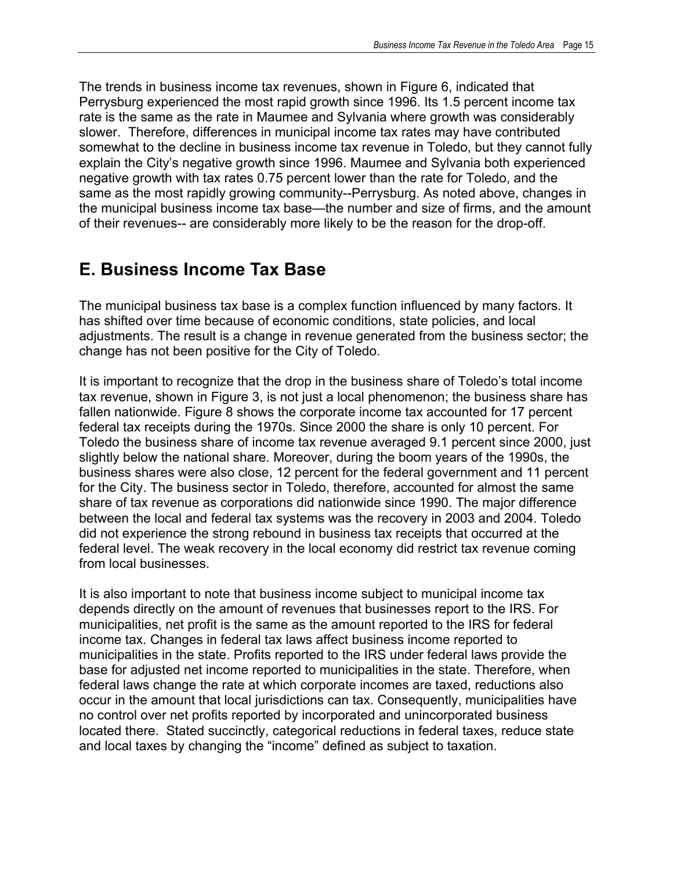The trends in business income tax revenues, shown in Figure 6, indicated that Perrysburg experienced the most rapid growth since 1996. Its 1.5 percent income tax rate is the same as the rate in Maumee and Sylvania where growth was considerably slower. Therefore, differences in municipal income tax rates may have contributed somewhat to the decline in business income tax revenue in Toledo, but they cannot fully explain the City's negative growth since 1996. Maumee and Sylvania both experienced negative growth with tax rates 0.75 percent lower than the rate for Toledo, and the same as the most rapidly growing community--Perrysburg. As noted above, changes in the municipal business income tax base—the number and size of firms, and the amount of their revenues-- are considerably more likely to be the reason for the drop-off.

## **E. Business Income Tax Base**

The municipal business tax base is a complex function influenced by many factors. It has shifted over time because of economic conditions, state policies, and local adjustments. The result is a change in revenue generated from the business sector; the change has not been positive for the City of Toledo.

It is important to recognize that the drop in the business share of Toledo's total income tax revenue, shown in Figure 3, is not just a local phenomenon; the business share has fallen nationwide. Figure 8 shows the corporate income tax accounted for 17 percent federal tax receipts during the 1970s. Since 2000 the share is only 10 percent. For Toledo the business share of income tax revenue averaged 9.1 percent since 2000, just slightly below the national share. Moreover, during the boom years of the 1990s, the business shares were also close, 12 percent for the federal government and 11 percent for the City. The business sector in Toledo, therefore, accounted for almost the same share of tax revenue as corporations did nationwide since 1990. The major difference between the local and federal tax systems was the recovery in 2003 and 2004. Toledo did not experience the strong rebound in business tax receipts that occurred at the federal level. The weak recovery in the local economy did restrict tax revenue coming from local businesses.

It is also important to note that business income subject to municipal income tax depends directly on the amount of revenues that businesses report to the IRS. For municipalities, net profit is the same as the amount reported to the IRS for federal income tax. Changes in federal tax laws affect business income reported to municipalities in the state. Profits reported to the IRS under federal laws provide the base for adjusted net income reported to municipalities in the state. Therefore, when federal laws change the rate at which corporate incomes are taxed, reductions also occur in the amount that local jurisdictions can tax. Consequently, municipalities have no control over net profits reported by incorporated and unincorporated business located there. Stated succinctly, categorical reductions in federal taxes, reduce state and local taxes by changing the "income" defined as subject to taxation.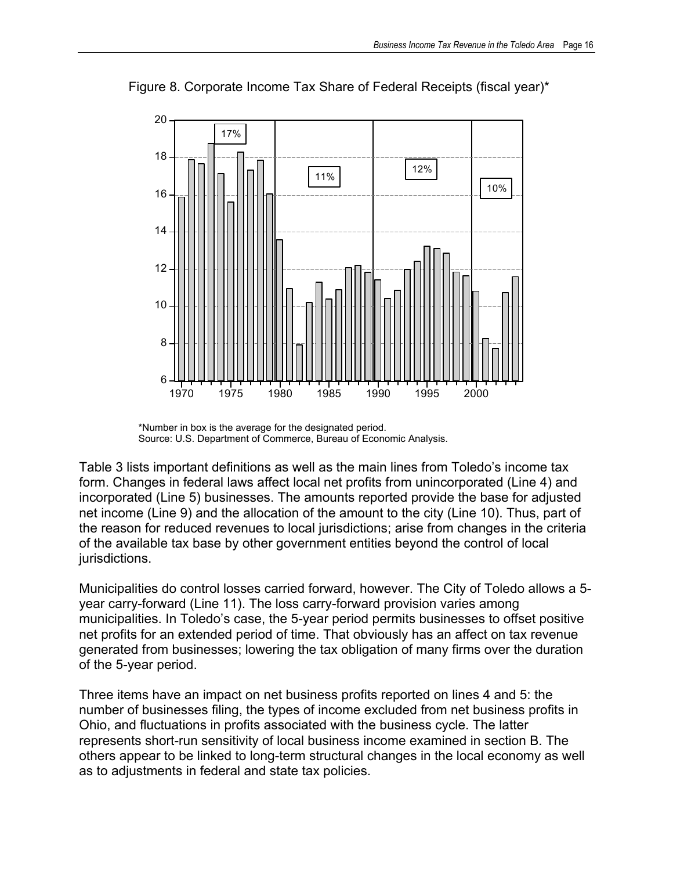

Figure 8. Corporate Income Tax Share of Federal Receipts (fiscal year)\*

Table 3 lists important definitions as well as the main lines from Toledo's income tax form. Changes in federal laws affect local net profits from unincorporated (Line 4) and incorporated (Line 5) businesses. The amounts reported provide the base for adjusted net income (Line 9) and the allocation of the amount to the city (Line 10). Thus, part of the reason for reduced revenues to local jurisdictions; arise from changes in the criteria of the available tax base by other government entities beyond the control of local jurisdictions.

Municipalities do control losses carried forward, however. The City of Toledo allows a 5 year carry-forward (Line 11). The loss carry-forward provision varies among municipalities. In Toledo's case, the 5-year period permits businesses to offset positive net profits for an extended period of time. That obviously has an affect on tax revenue generated from businesses; lowering the tax obligation of many firms over the duration of the 5-year period.

Three items have an impact on net business profits reported on lines 4 and 5: the number of businesses filing, the types of income excluded from net business profits in Ohio, and fluctuations in profits associated with the business cycle. The latter represents short-run sensitivity of local business income examined in section B. The others appear to be linked to long-term structural changes in the local economy as well as to adjustments in federal and state tax policies.

<sup>\*</sup>Number in box is the average for the designated period. Source: U.S. Department of Commerce, Bureau of Economic Analysis.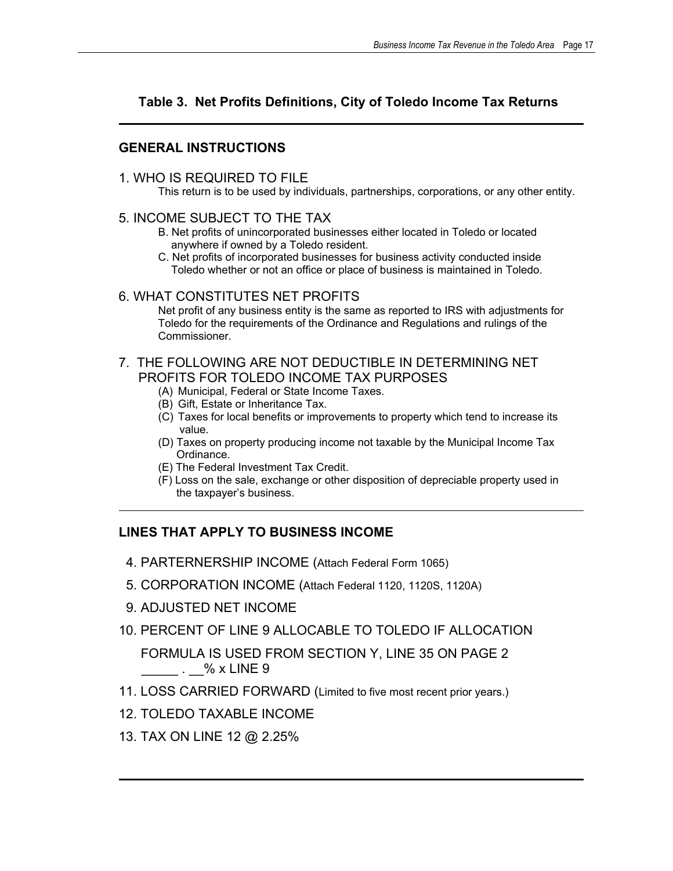### **Table 3. Net Profits Definitions, City of Toledo Income Tax Returns**

#### **GENERAL INSTRUCTIONS**

#### 1. WHO IS REQUIRED TO FILE

This return is to be used by individuals, partnerships, corporations, or any other entity.

#### 5. INCOME SUBJECT TO THE TAX

- B. Net profits of unincorporated businesses either located in Toledo or located anywhere if owned by a Toledo resident.
- C. Net profits of incorporated businesses for business activity conducted inside Toledo whether or not an office or place of business is maintained in Toledo.

#### 6. WHAT CONSTITUTES NET PROFITS

Net profit of any business entity is the same as reported to IRS with adjustments for Toledo for the requirements of the Ordinance and Regulations and rulings of the Commissioner.

#### 7. THE FOLLOWING ARE NOT DEDUCTIBLE IN DETERMINING NET PROFITS FOR TOLEDO INCOME TAX PURPOSES

- (A) Municipal, Federal or State Income Taxes.
- (B) Gift, Estate or Inheritance Tax.
- (C) Taxes for local benefits or improvements to property which tend to increase its value.
- (D) Taxes on property producing income not taxable by the Municipal Income Tax Ordinance.
- (E) The Federal Investment Tax Credit.
- (F) Loss on the sale, exchange or other disposition of depreciable property used in the taxpayer's business.

### **LINES THAT APPLY TO BUSINESS INCOME**

- 4. PARTERNERSHIP INCOME (Attach Federal Form 1065)
- 5. CORPORATION INCOME (Attach Federal 1120, 1120S, 1120A)
- 9. ADJUSTED NET INCOME
- 10. PERCENT OF LINE 9 ALLOCABLE TO TOLEDO IF ALLOCATION

 FORMULA IS USED FROM SECTION Y, LINE 35 ON PAGE 2  $\frac{1}{2}$ . % x LINE 9

- 11. LOSS CARRIED FORWARD (Limited to five most recent prior years.)
- 12. TOLEDO TAXABLE INCOME
- 13. TAX ON LINE 12 @ 2.25%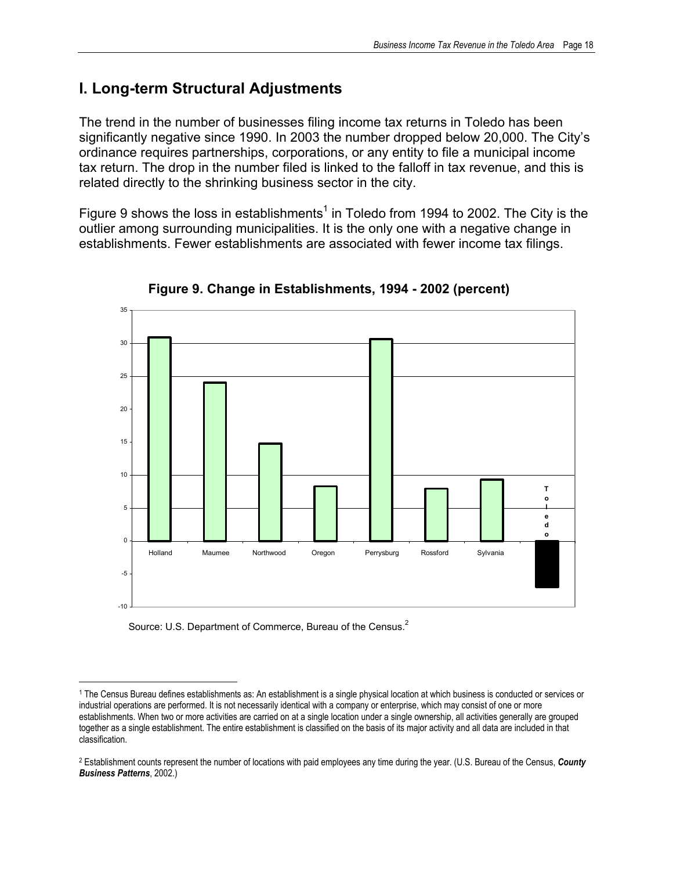### **I. Long-term Structural Adjustments**

The trend in the number of businesses filing income tax returns in Toledo has been significantly negative since 1990. In 2003 the number dropped below 20,000. The City's ordinance requires partnerships, corporations, or any entity to file a municipal income tax return. The drop in the number filed is linked to the falloff in tax revenue, and this is related directly to the shrinking business sector in the city.

Figure 9 shows the loss in establishments<sup>1</sup> in Toledo from 1994 to 2002. The City is the outlier among surrounding municipalities. It is the only one with a negative change in establishments. Fewer establishments are associated with fewer income tax filings.



**Figure 9. Change in Establishments, 1994 - 2002 (percent)** 

Source: U.S. Department of Commerce, Bureau of the Census.<sup>2</sup>

 $\overline{a}$ 

<sup>1</sup> The Census Bureau defines establishments as: An establishment is a single physical location at which business is conducted or services or industrial operations are performed. It is not necessarily identical with a company or enterprise, which may consist of one or more establishments. When two or more activities are carried on at a single location under a single ownership, all activities generally are grouped together as a single establishment. The entire establishment is classified on the basis of its major activity and all data are included in that classification.

<sup>2</sup> Establishment counts represent the number of locations with paid employees any time during the year. (U.S. Bureau of the Census, *County Business Patterns*, 2002.)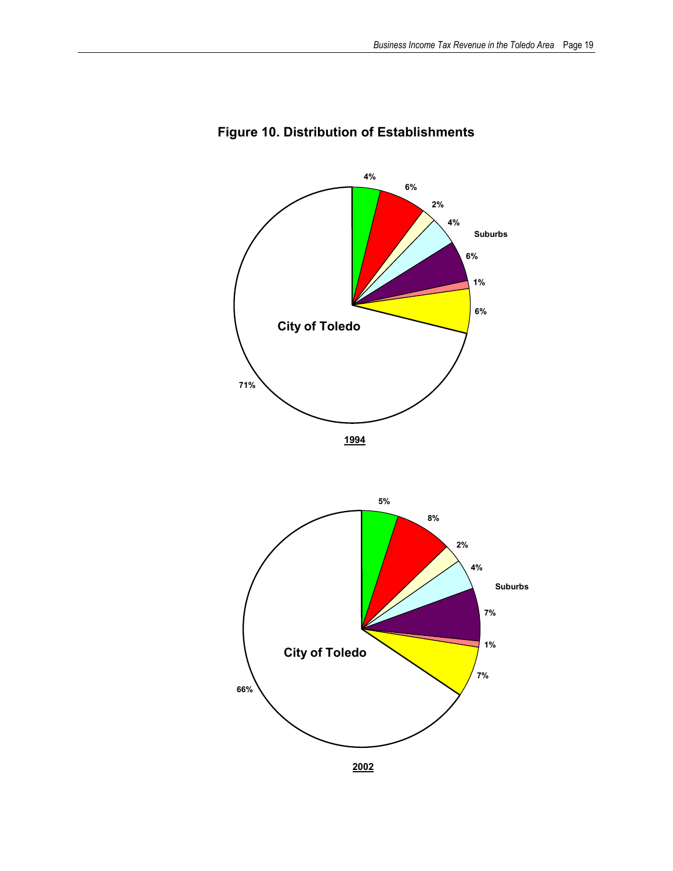

### **Figure 10. Distribution of Establishments**

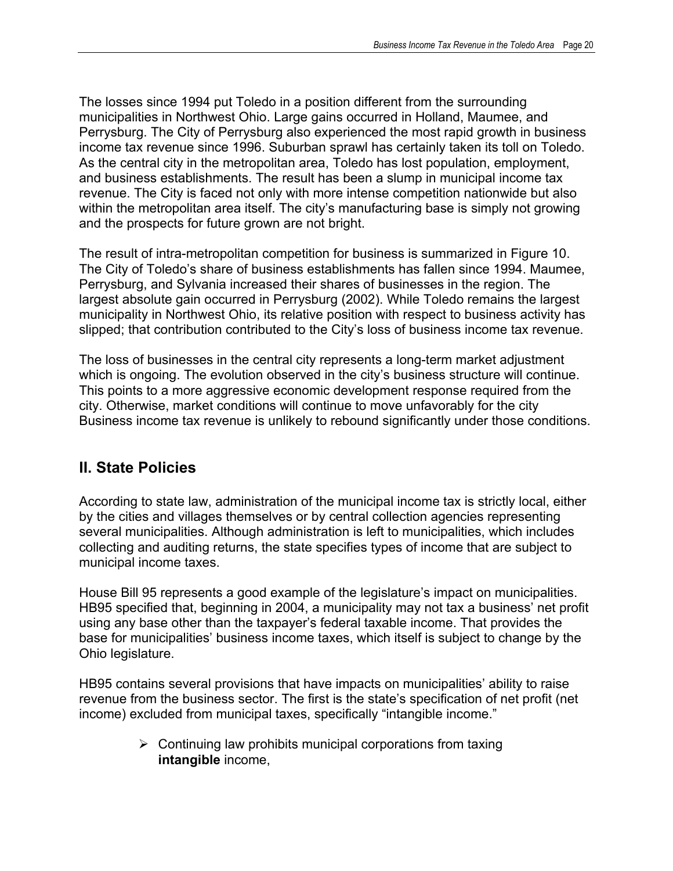The losses since 1994 put Toledo in a position different from the surrounding municipalities in Northwest Ohio. Large gains occurred in Holland, Maumee, and Perrysburg. The City of Perrysburg also experienced the most rapid growth in business income tax revenue since 1996. Suburban sprawl has certainly taken its toll on Toledo. As the central city in the metropolitan area, Toledo has lost population, employment, and business establishments. The result has been a slump in municipal income tax revenue. The City is faced not only with more intense competition nationwide but also within the metropolitan area itself. The city's manufacturing base is simply not growing and the prospects for future grown are not bright.

The result of intra-metropolitan competition for business is summarized in Figure 10. The City of Toledo's share of business establishments has fallen since 1994. Maumee, Perrysburg, and Sylvania increased their shares of businesses in the region. The largest absolute gain occurred in Perrysburg (2002). While Toledo remains the largest municipality in Northwest Ohio, its relative position with respect to business activity has slipped; that contribution contributed to the City's loss of business income tax revenue.

The loss of businesses in the central city represents a long-term market adjustment which is ongoing. The evolution observed in the city's business structure will continue. This points to a more aggressive economic development response required from the city. Otherwise, market conditions will continue to move unfavorably for the city Business income tax revenue is unlikely to rebound significantly under those conditions.

### **II. State Policies**

According to state law, administration of the municipal income tax is strictly local, either by the cities and villages themselves or by central collection agencies representing several municipalities. Although administration is left to municipalities, which includes collecting and auditing returns, the state specifies types of income that are subject to municipal income taxes.

House Bill 95 represents a good example of the legislature's impact on municipalities. HB95 specified that, beginning in 2004, a municipality may not tax a business' net profit using any base other than the taxpayer's federal taxable income. That provides the base for municipalities' business income taxes, which itself is subject to change by the Ohio legislature.

HB95 contains several provisions that have impacts on municipalities' ability to raise revenue from the business sector. The first is the state's specification of net profit (net income) excluded from municipal taxes, specifically "intangible income."

> $\triangleright$  Continuing law prohibits municipal corporations from taxing **intangible** income,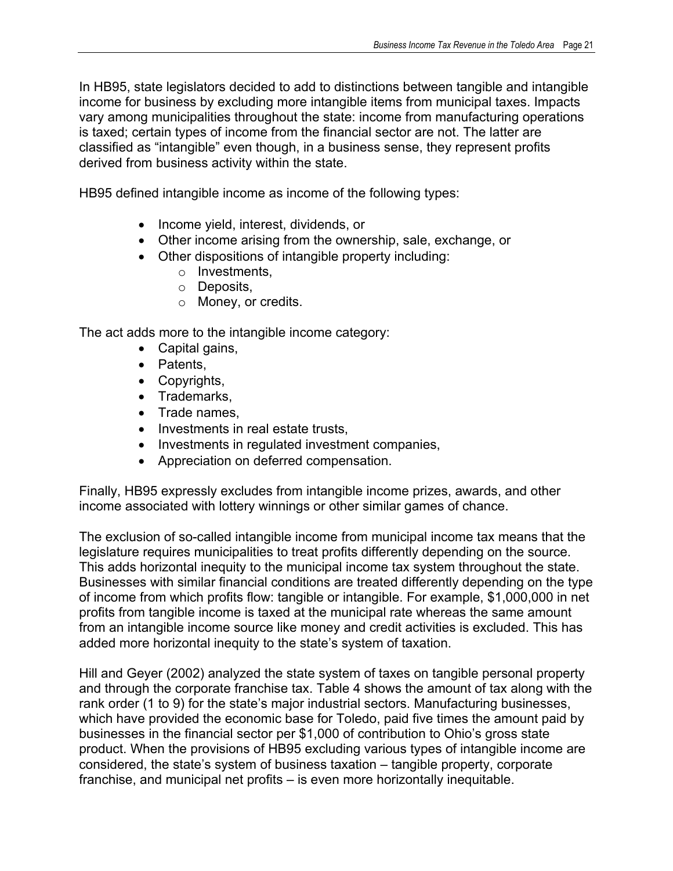In HB95, state legislators decided to add to distinctions between tangible and intangible income for business by excluding more intangible items from municipal taxes. Impacts vary among municipalities throughout the state: income from manufacturing operations is taxed; certain types of income from the financial sector are not. The latter are classified as "intangible" even though, in a business sense, they represent profits derived from business activity within the state.

HB95 defined intangible income as income of the following types:

- Income yield, interest, dividends, or
- Other income arising from the ownership, sale, exchange, or
- Other dispositions of intangible property including:
	- o Investments,
	- o Deposits,
	- o Money, or credits.

The act adds more to the intangible income category:

- Capital gains,
- Patents,
- Copyrights,
- Trademarks,
- Trade names,
- Investments in real estate trusts,
- Investments in regulated investment companies,
- Appreciation on deferred compensation.

Finally, HB95 expressly excludes from intangible income prizes, awards, and other income associated with lottery winnings or other similar games of chance.

The exclusion of so-called intangible income from municipal income tax means that the legislature requires municipalities to treat profits differently depending on the source. This adds horizontal inequity to the municipal income tax system throughout the state. Businesses with similar financial conditions are treated differently depending on the type of income from which profits flow: tangible or intangible. For example, \$1,000,000 in net profits from tangible income is taxed at the municipal rate whereas the same amount from an intangible income source like money and credit activities is excluded. This has added more horizontal inequity to the state's system of taxation.

Hill and Geyer (2002) analyzed the state system of taxes on tangible personal property and through the corporate franchise tax. Table 4 shows the amount of tax along with the rank order (1 to 9) for the state's major industrial sectors. Manufacturing businesses, which have provided the economic base for Toledo, paid five times the amount paid by businesses in the financial sector per \$1,000 of contribution to Ohio's gross state product. When the provisions of HB95 excluding various types of intangible income are considered, the state's system of business taxation – tangible property, corporate franchise, and municipal net profits – is even more horizontally inequitable.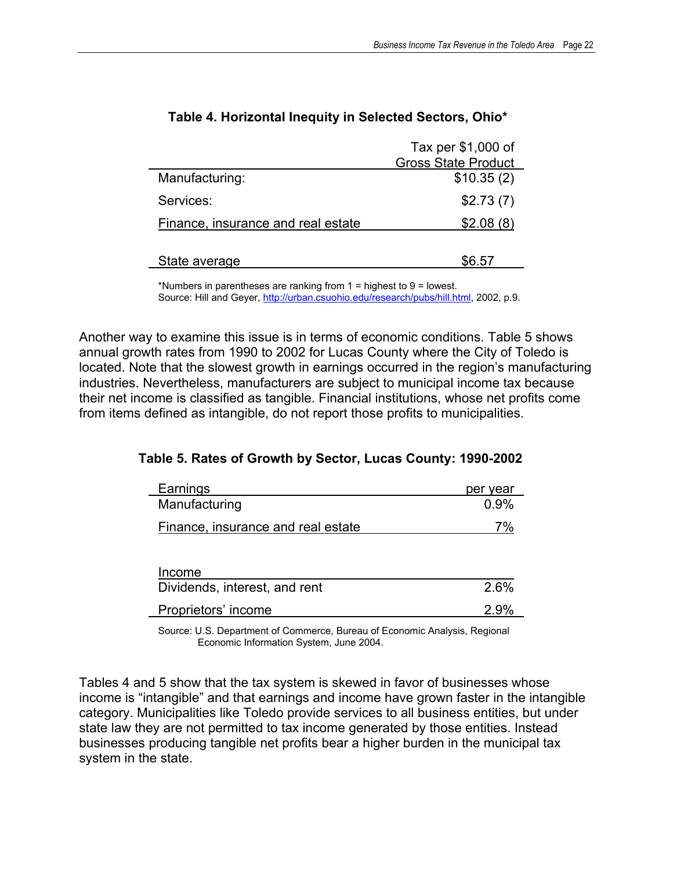|                                    | Tax per \$1,000 of         |
|------------------------------------|----------------------------|
|                                    | <b>Gross State Product</b> |
| Manufacturing:                     | \$10.35(2)                 |
| Services:                          | \$2.73(7)                  |
| Finance, insurance and real estate | \$2.08(8)                  |
| State average                      | \$6.57                     |

### **Table 4. Horizontal Inequity in Selected Sectors, Ohio\***

\*Numbers in parentheses are ranking from 1 = highest to 9 = lowest. Source: Hill and Geyer, http://urban.csuohio.edu/research/pubs/hill.html, 2002, p.9.

Another way to examine this issue is in terms of economic conditions. Table 5 shows annual growth rates from 1990 to 2002 for Lucas County where the City of Toledo is located. Note that the slowest growth in earnings occurred in the region's manufacturing industries. Nevertheless, manufacturers are subject to municipal income tax because their net income is classified as tangible. Financial institutions, whose net profits come from items defined as intangible, do not report those profits to municipalities.

| Earnings                           | per year |
|------------------------------------|----------|
| Manufacturing                      | 0.9%     |
| Finance, insurance and real estate | 7%       |
|                                    |          |
| Income                             |          |
| Dividends, interest, and rent      | 2.6%     |
| Proprietors' income                | 2.9%     |

#### **Table 5. Rates of Growth by Sector, Lucas County: 1990-2002**

 Source: U.S. Department of Commerce, Bureau of Economic Analysis, Regional Economic Information System, June 2004.

Tables 4 and 5 show that the tax system is skewed in favor of businesses whose income is "intangible" and that earnings and income have grown faster in the intangible category. Municipalities like Toledo provide services to all business entities, but under state law they are not permitted to tax income generated by those entities. Instead businesses producing tangible net profits bear a higher burden in the municipal tax system in the state.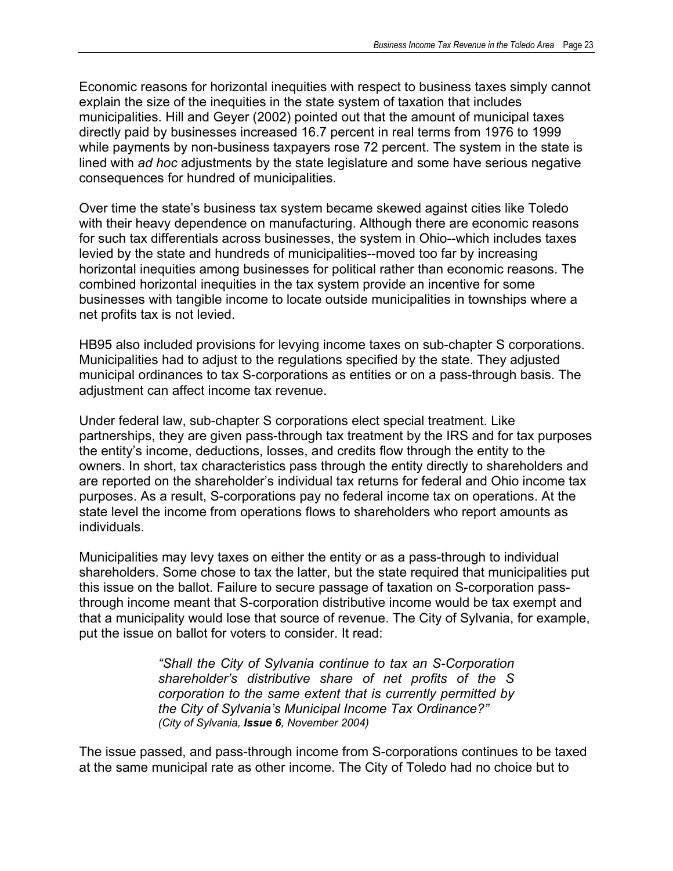Economic reasons for horizontal inequities with respect to business taxes simply cannot explain the size of the inequities in the state system of taxation that includes municipalities. Hill and Geyer (2002) pointed out that the amount of municipal taxes directly paid by businesses increased 16.7 percent in real terms from 1976 to 1999 while payments by non-business taxpayers rose 72 percent. The system in the state is lined with *ad hoc* adjustments by the state legislature and some have serious negative consequences for hundred of municipalities.

Over time the state's business tax system became skewed against cities like Toledo with their heavy dependence on manufacturing. Although there are economic reasons for such tax differentials across businesses, the system in Ohio--which includes taxes levied by the state and hundreds of municipalities--moved too far by increasing horizontal inequities among businesses for political rather than economic reasons. The combined horizontal inequities in the tax system provide an incentive for some businesses with tangible income to locate outside municipalities in townships where a net profits tax is not levied.

HB95 also included provisions for levying income taxes on sub-chapter S corporations. Municipalities had to adjust to the regulations specified by the state. They adjusted municipal ordinances to tax S-corporations as entities or on a pass-through basis. The adjustment can affect income tax revenue.

Under federal law, sub-chapter S corporations elect special treatment. Like partnerships, they are given pass-through tax treatment by the IRS and for tax purposes the entity's income, deductions, losses, and credits flow through the entity to the owners. In short, tax characteristics pass through the entity directly to shareholders and are reported on the shareholder's individual tax returns for federal and Ohio income tax purposes. As a result, S-corporations pay no federal income tax on operations. At the state level the income from operations flows to shareholders who report amounts as individuals.

Municipalities may levy taxes on either the entity or as a pass-through to individual shareholders. Some chose to tax the latter, but the state required that municipalities put this issue on the ballot. Failure to secure passage of taxation on S-corporation passthrough income meant that S-corporation distributive income would be tax exempt and that a municipality would lose that source of revenue. The City of Sylvania, for example, put the issue on ballot for voters to consider. It read:

> *"Shall the City of Sylvania continue to tax an S-Corporation shareholder's distributive share of net profits of the S corporation to the same extent that is currently permitted by the City of Sylvania's Municipal Income Tax Ordinance?" (City of Sylvania, Issue 6, November 2004)*

The issue passed, and pass-through income from S-corporations continues to be taxed at the same municipal rate as other income. The City of Toledo had no choice but to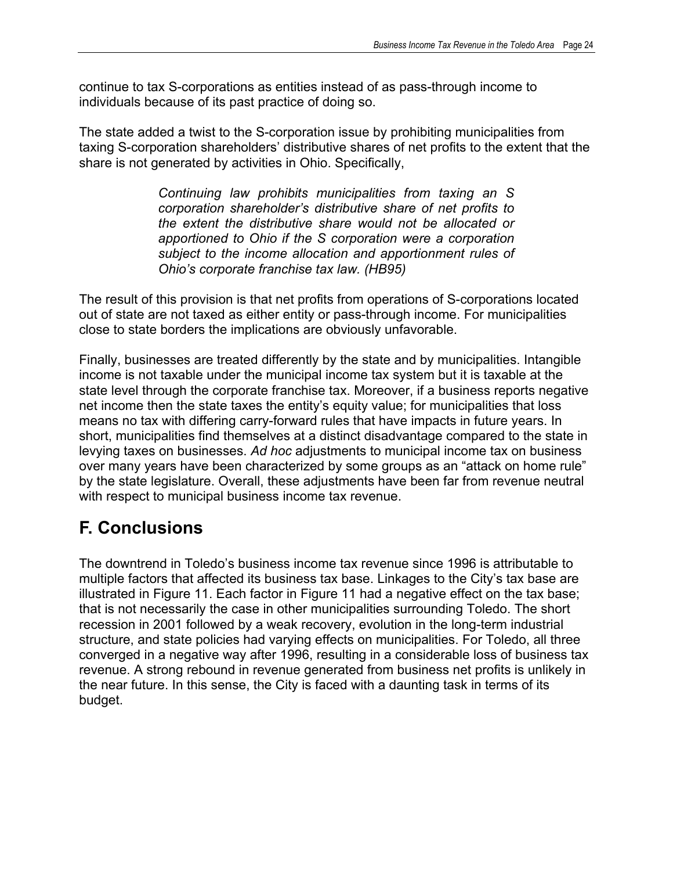continue to tax S-corporations as entities instead of as pass-through income to individuals because of its past practice of doing so.

The state added a twist to the S-corporation issue by prohibiting municipalities from taxing S-corporation shareholders' distributive shares of net profits to the extent that the share is not generated by activities in Ohio. Specifically,

> *Continuing law prohibits municipalities from taxing an S corporation shareholder's distributive share of net profits to the extent the distributive share would not be allocated or apportioned to Ohio if the S corporation were a corporation subject to the income allocation and apportionment rules of Ohio's corporate franchise tax law. (HB95)*

The result of this provision is that net profits from operations of S-corporations located out of state are not taxed as either entity or pass-through income. For municipalities close to state borders the implications are obviously unfavorable.

Finally, businesses are treated differently by the state and by municipalities. Intangible income is not taxable under the municipal income tax system but it is taxable at the state level through the corporate franchise tax. Moreover, if a business reports negative net income then the state taxes the entity's equity value; for municipalities that loss means no tax with differing carry-forward rules that have impacts in future years. In short, municipalities find themselves at a distinct disadvantage compared to the state in levying taxes on businesses. *Ad hoc* adjustments to municipal income tax on business over many years have been characterized by some groups as an "attack on home rule" by the state legislature. Overall, these adjustments have been far from revenue neutral with respect to municipal business income tax revenue.

## **F. Conclusions**

The downtrend in Toledo's business income tax revenue since 1996 is attributable to multiple factors that affected its business tax base. Linkages to the City's tax base are illustrated in Figure 11. Each factor in Figure 11 had a negative effect on the tax base; that is not necessarily the case in other municipalities surrounding Toledo. The short recession in 2001 followed by a weak recovery, evolution in the long-term industrial structure, and state policies had varying effects on municipalities. For Toledo, all three converged in a negative way after 1996, resulting in a considerable loss of business tax revenue. A strong rebound in revenue generated from business net profits is unlikely in the near future. In this sense, the City is faced with a daunting task in terms of its budget.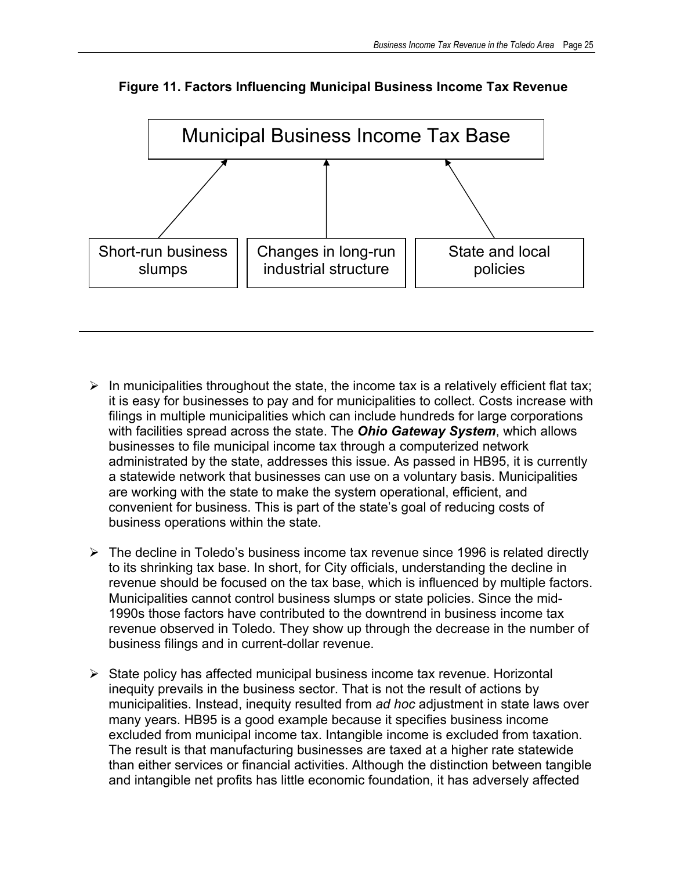

**Figure 11. Factors Influencing Municipal Business Income Tax Revenue** 

- $\triangleright$  In municipalities throughout the state, the income tax is a relatively efficient flat tax; it is easy for businesses to pay and for municipalities to collect. Costs increase with filings in multiple municipalities which can include hundreds for large corporations with facilities spread across the state. The *Ohio Gateway System*, which allows businesses to file municipal income tax through a computerized network administrated by the state, addresses this issue. As passed in HB95, it is currently a statewide network that businesses can use on a voluntary basis. Municipalities are working with the state to make the system operational, efficient, and convenient for business. This is part of the state's goal of reducing costs of business operations within the state.
- $\triangleright$  The decline in Toledo's business income tax revenue since 1996 is related directly to its shrinking tax base. In short, for City officials, understanding the decline in revenue should be focused on the tax base, which is influenced by multiple factors. Municipalities cannot control business slumps or state policies. Since the mid-1990s those factors have contributed to the downtrend in business income tax revenue observed in Toledo. They show up through the decrease in the number of business filings and in current-dollar revenue.
- $\triangleright$  State policy has affected municipal business income tax revenue. Horizontal inequity prevails in the business sector. That is not the result of actions by municipalities. Instead, inequity resulted from *ad hoc* adjustment in state laws over many years. HB95 is a good example because it specifies business income excluded from municipal income tax. Intangible income is excluded from taxation. The result is that manufacturing businesses are taxed at a higher rate statewide than either services or financial activities. Although the distinction between tangible and intangible net profits has little economic foundation, it has adversely affected